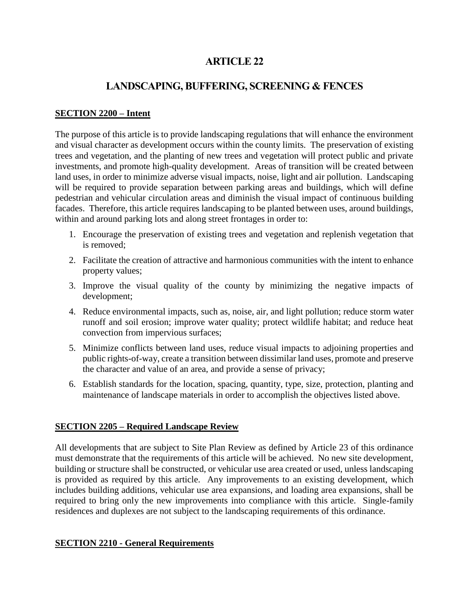# **ARTICLE 22**

# **LANDSCAPING, BUFFERING, SCREENING & FENCES**

# **SECTION 2200 – Intent**

The purpose of this article is to provide landscaping regulations that will enhance the environment and visual character as development occurs within the county limits. The preservation of existing trees and vegetation, and the planting of new trees and vegetation will protect public and private investments, and promote high-quality development. Areas of transition will be created between land uses, in order to minimize adverse visual impacts, noise, light and air pollution. Landscaping will be required to provide separation between parking areas and buildings, which will define pedestrian and vehicular circulation areas and diminish the visual impact of continuous building facades. Therefore, this article requires landscaping to be planted between uses, around buildings, within and around parking lots and along street frontages in order to:

- 1. Encourage the preservation of existing trees and vegetation and replenish vegetation that is removed;
- 2. Facilitate the creation of attractive and harmonious communities with the intent to enhance property values;
- 3. Improve the visual quality of the county by minimizing the negative impacts of development;
- 4. Reduce environmental impacts, such as, noise, air, and light pollution; reduce storm water runoff and soil erosion; improve water quality; protect wildlife habitat; and reduce heat convection from impervious surfaces;
- 5. Minimize conflicts between land uses, reduce visual impacts to adjoining properties and public rights-of-way, create a transition between dissimilar land uses, promote and preserve the character and value of an area, and provide a sense of privacy;
- 6. Establish standards for the location, spacing, quantity, type, size, protection, planting and maintenance of landscape materials in order to accomplish the objectives listed above.

## **SECTION 2205 – Required Landscape Review**

All developments that are subject to Site Plan Review as defined by Article 23 of this ordinance must demonstrate that the requirements of this article will be achieved. No new site development, building or structure shall be constructed, or vehicular use area created or used, unless landscaping is provided as required by this article. Any improvements to an existing development, which includes building additions, vehicular use area expansions, and loading area expansions, shall be required to bring only the new improvements into compliance with this article. Single-family residences and duplexes are not subject to the landscaping requirements of this ordinance.

## **SECTION 2210 - General Requirements**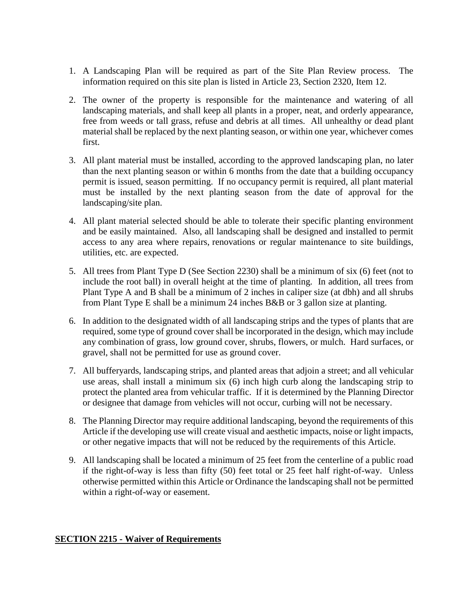- 1. A Landscaping Plan will be required as part of the Site Plan Review process. The information required on this site plan is listed in Article 23, Section 2320, Item 12.
- 2. The owner of the property is responsible for the maintenance and watering of all landscaping materials, and shall keep all plants in a proper, neat, and orderly appearance, free from weeds or tall grass, refuse and debris at all times. All unhealthy or dead plant material shall be replaced by the next planting season, or within one year, whichever comes first.
- 3. All plant material must be installed, according to the approved landscaping plan, no later than the next planting season or within 6 months from the date that a building occupancy permit is issued, season permitting. If no occupancy permit is required, all plant material must be installed by the next planting season from the date of approval for the landscaping/site plan.
- 4. All plant material selected should be able to tolerate their specific planting environment and be easily maintained. Also, all landscaping shall be designed and installed to permit access to any area where repairs, renovations or regular maintenance to site buildings, utilities, etc. are expected.
- 5. All trees from Plant Type D (See Section 2230) shall be a minimum of six (6) feet (not to include the root ball) in overall height at the time of planting. In addition, all trees from Plant Type A and B shall be a minimum of 2 inches in caliper size (at dbh) and all shrubs from Plant Type E shall be a minimum 24 inches B&B or 3 gallon size at planting.
- 6. In addition to the designated width of all landscaping strips and the types of plants that are required, some type of ground cover shall be incorporated in the design, which may include any combination of grass, low ground cover, shrubs, flowers, or mulch. Hard surfaces, or gravel, shall not be permitted for use as ground cover.
- 7. All bufferyards, landscaping strips, and planted areas that adjoin a street; and all vehicular use areas, shall install a minimum six (6) inch high curb along the landscaping strip to protect the planted area from vehicular traffic. If it is determined by the Planning Director or designee that damage from vehicles will not occur, curbing will not be necessary.
- 8. The Planning Director may require additional landscaping, beyond the requirements of this Article if the developing use will create visual and aesthetic impacts, noise or light impacts, or other negative impacts that will not be reduced by the requirements of this Article.
- 9. All landscaping shall be located a minimum of 25 feet from the centerline of a public road if the right-of-way is less than fifty (50) feet total or 25 feet half right-of-way. Unless otherwise permitted within this Article or Ordinance the landscaping shall not be permitted within a right-of-way or easement.

# **SECTION 2215 - Waiver of Requirements**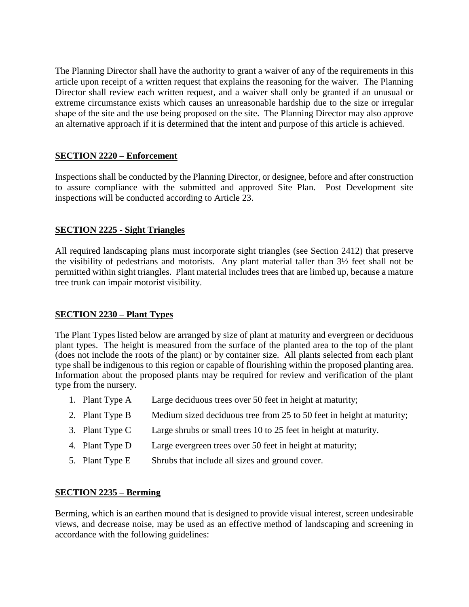The Planning Director shall have the authority to grant a waiver of any of the requirements in this article upon receipt of a written request that explains the reasoning for the waiver. The Planning Director shall review each written request, and a waiver shall only be granted if an unusual or extreme circumstance exists which causes an unreasonable hardship due to the size or irregular shape of the site and the use being proposed on the site. The Planning Director may also approve an alternative approach if it is determined that the intent and purpose of this article is achieved.

# **SECTION 2220 – Enforcement**

Inspections shall be conducted by the Planning Director, or designee, before and after construction to assure compliance with the submitted and approved Site Plan. Post Development site inspections will be conducted according to Article 23.

## **SECTION 2225 - Sight Triangles**

All required landscaping plans must incorporate sight triangles (see Section 2412) that preserve the visibility of pedestrians and motorists. Any plant material taller than 3½ feet shall not be permitted within sight triangles. Plant material includes trees that are limbed up, because a mature tree trunk can impair motorist visibility.

## **SECTION 2230 – Plant Types**

The Plant Types listed below are arranged by size of plant at maturity and evergreen or deciduous plant types. The height is measured from the surface of the planted area to the top of the plant (does not include the roots of the plant) or by container size. All plants selected from each plant type shall be indigenous to this region or capable of flourishing within the proposed planting area. Information about the proposed plants may be required for review and verification of the plant type from the nursery.

- 1. Plant Type A Large deciduous trees over 50 feet in height at maturity;
- 2. Plant Type B Medium sized deciduous tree from 25 to 50 feet in height at maturity;
- 3. Plant Type C Large shrubs or small trees 10 to 25 feet in height at maturity.
- 4. Plant Type D Large evergreen trees over 50 feet in height at maturity;
- 5. Plant Type E Shrubs that include all sizes and ground cover.

#### **SECTION 2235 – Berming**

Berming, which is an earthen mound that is designed to provide visual interest, screen undesirable views, and decrease noise, may be used as an effective method of landscaping and screening in accordance with the following guidelines: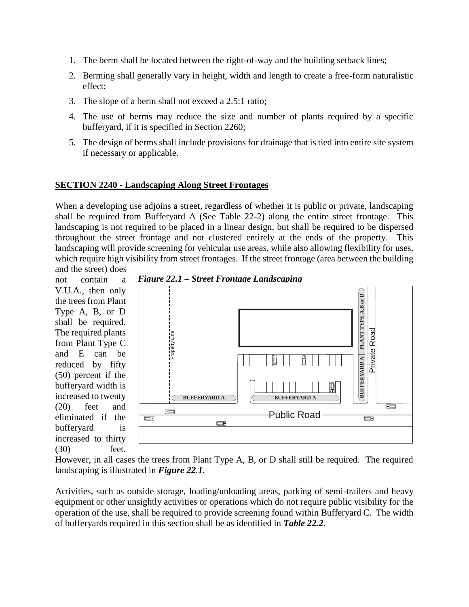- 1. The berm shall be located between the right-of-way and the building setback lines;
- 2. Berming shall generally vary in height, width and length to create a free-form naturalistic effect;
- 3. The slope of a berm shall not exceed a 2.5:1 ratio;
- 4. The use of berms may reduce the size and number of plants required by a specific bufferyard, if it is specified in Section 2260;
- 5. The design of berms shall include provisions for drainage that is tied into entire site system if necessary or applicable.

## **SECTION 2240 - Landscaping Along Street Frontages**

When a developing use adjoins a street, regardless of whether it is public or private, landscaping shall be required from Bufferyard A (See Table 22-2) along the entire street frontage. This landscaping is not required to be placed in a linear design, but shall be required to be dispersed throughout the street frontage and not clustered entirely at the ends of the property. This landscaping will provide screening for vehicular use areas, while also allowing flexibility for uses, which require high visibility from street frontages. If the street frontage (area between the building and the street) does

not contain a V.U.A., then only the trees from Plant Type A, B, or D shall be required. The required plants from Plant Type C and E can be reduced by fifty (50) percent if the bufferyard width is increased to twenty (20) feet and eliminated if the bufferyard is increased to thirty (30) feet.





However, in all cases the trees from Plant Type A, B, or D shall still be required. The required landscaping is illustrated in *Figure 22.1*.

Activities, such as outside storage, loading/unloading areas, parking of semi-trailers and heavy equipment or other unsightly activities or operations which do not require public visibility for the operation of the use, shall be required to provide screening found within Bufferyard C. The width of bufferyards required in this section shall be as identified in *Table 22.2*.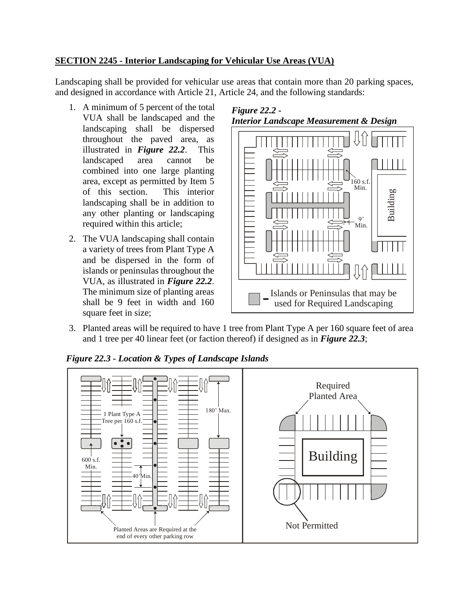# **SECTION 2245 - Interior Landscaping for Vehicular Use Areas (VUA)**

Landscaping shall be provided for vehicular use areas that contain more than 20 parking spaces, and designed in accordance with Article 21, Article 24, and the following standards:

- 1. A minimum of 5 percent of the total VUA shall be landscaped and the landscaping shall be dispersed throughout the paved area, as illustrated in *Figure 22.2*. This landscaped area cannot be combined into one large planting area, except as permitted by Item 5 of this section. This interior landscaping shall be in addition to any other planting or landscaping required within this article;
- 2. The VUA landscaping shall contain a variety of trees from Plant Type A and be dispersed in the form of islands or peninsulas throughout the VUA, as illustrated in *Figure 22.2*. The minimum size of planting areas shall be 9 feet in width and 160 square feet in size;





3. Planted areas will be required to have 1 tree from Plant Type A per 160 square feet of area and 1 tree per 40 linear feet (or faction thereof) if designed as in *Figure 22.3*;



*Figure 22.3 - Location & Types of Landscape Islands*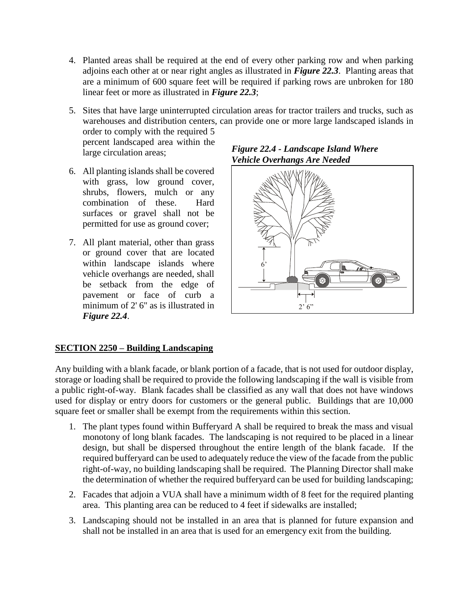- 4. Planted areas shall be required at the end of every other parking row and when parking adjoins each other at or near right angles as illustrated in *Figure 22.3*. Planting areas that are a minimum of 600 square feet will be required if parking rows are unbroken for 180 linear feet or more as illustrated in *Figure 22.3*;
- 5. Sites that have large uninterrupted circulation areas for tractor trailers and trucks, such as warehouses and distribution centers, can provide one or more large landscaped islands in order to comply with the required 5

percent landscaped area within the large circulation areas;

- 6. All planting islands shall be covered with grass, low ground cover, shrubs, flowers, mulch or any combination of these. Hard surfaces or gravel shall not be permitted for use as ground cover;
- 7. All plant material, other than grass or ground cover that are located within landscape islands where vehicle overhangs are needed, shall be setback from the edge of pavement or face of curb a minimum of 2' 6" as is illustrated in *Figure 22.4*.

## *Figure 22.4 - Landscape Island Where Vehicle Overhangs Are Needed*



## **SECTION 2250 – Building Landscaping**

Any building with a blank facade, or blank portion of a facade, that is not used for outdoor display, storage or loading shall be required to provide the following landscaping if the wall is visible from a public right-of-way. Blank facades shall be classified as any wall that does not have windows used for display or entry doors for customers or the general public. Buildings that are 10,000 square feet or smaller shall be exempt from the requirements within this section.

- 1. The plant types found within Bufferyard A shall be required to break the mass and visual monotony of long blank facades. The landscaping is not required to be placed in a linear design, but shall be dispersed throughout the entire length of the blank facade. If the required bufferyard can be used to adequately reduce the view of the facade from the public right-of-way, no building landscaping shall be required. The Planning Director shall make the determination of whether the required bufferyard can be used for building landscaping;
- 2. Facades that adjoin a VUA shall have a minimum width of 8 feet for the required planting area. This planting area can be reduced to 4 feet if sidewalks are installed;
- 3. Landscaping should not be installed in an area that is planned for future expansion and shall not be installed in an area that is used for an emergency exit from the building.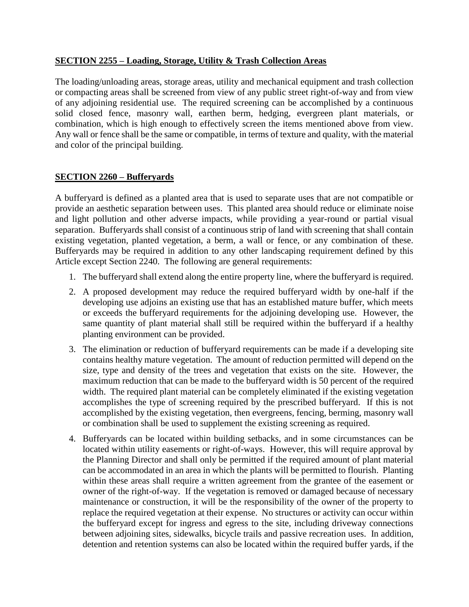### **SECTION 2255 – Loading, Storage, Utility & Trash Collection Areas**

The loading/unloading areas, storage areas, utility and mechanical equipment and trash collection or compacting areas shall be screened from view of any public street right-of-way and from view of any adjoining residential use. The required screening can be accomplished by a continuous solid closed fence, masonry wall, earthen berm, hedging, evergreen plant materials, or combination, which is high enough to effectively screen the items mentioned above from view. Any wall or fence shall be the same or compatible, in terms of texture and quality, with the material and color of the principal building.

#### **SECTION 2260 – Bufferyards**

A bufferyard is defined as a planted area that is used to separate uses that are not compatible or provide an aesthetic separation between uses. This planted area should reduce or eliminate noise and light pollution and other adverse impacts, while providing a year-round or partial visual separation. Bufferyards shall consist of a continuous strip of land with screening that shall contain existing vegetation, planted vegetation, a berm, a wall or fence, or any combination of these. Bufferyards may be required in addition to any other landscaping requirement defined by this Article except Section 2240. The following are general requirements:

- 1. The bufferyard shall extend along the entire property line, where the bufferyard is required.
- 2. A proposed development may reduce the required bufferyard width by one-half if the developing use adjoins an existing use that has an established mature buffer, which meets or exceeds the bufferyard requirements for the adjoining developing use. However, the same quantity of plant material shall still be required within the bufferyard if a healthy planting environment can be provided.
- 3. The elimination or reduction of bufferyard requirements can be made if a developing site contains healthy mature vegetation. The amount of reduction permitted will depend on the size, type and density of the trees and vegetation that exists on the site. However, the maximum reduction that can be made to the bufferyard width is 50 percent of the required width. The required plant material can be completely eliminated if the existing vegetation accomplishes the type of screening required by the prescribed bufferyard. If this is not accomplished by the existing vegetation, then evergreens, fencing, berming, masonry wall or combination shall be used to supplement the existing screening as required.
- 4. Bufferyards can be located within building setbacks, and in some circumstances can be located within utility easements or right-of-ways. However, this will require approval by the Planning Director and shall only be permitted if the required amount of plant material can be accommodated in an area in which the plants will be permitted to flourish. Planting within these areas shall require a written agreement from the grantee of the easement or owner of the right-of-way. If the vegetation is removed or damaged because of necessary maintenance or construction, it will be the responsibility of the owner of the property to replace the required vegetation at their expense. No structures or activity can occur within the bufferyard except for ingress and egress to the site, including driveway connections between adjoining sites, sidewalks, bicycle trails and passive recreation uses. In addition, detention and retention systems can also be located within the required buffer yards, if the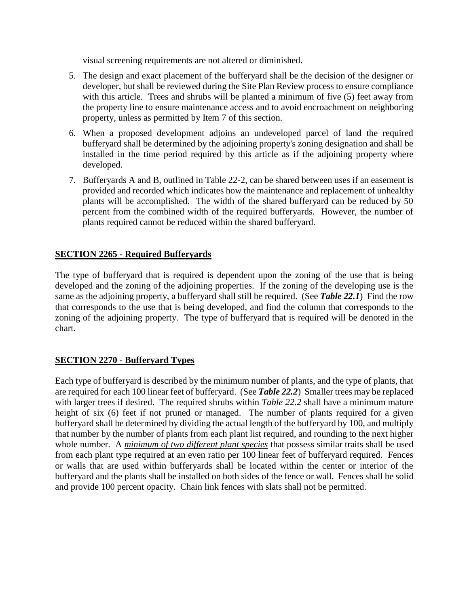visual screening requirements are not altered or diminished.

- 5. The design and exact placement of the bufferyard shall be the decision of the designer or developer, but shall be reviewed during the Site Plan Review process to ensure compliance with this article. Trees and shrubs will be planted a minimum of five (5) feet away from the property line to ensure maintenance access and to avoid encroachment on neighboring property, unless as permitted by Item 7 of this section.
- 6. When a proposed development adjoins an undeveloped parcel of land the required bufferyard shall be determined by the adjoining property's zoning designation and shall be installed in the time period required by this article as if the adjoining property where developed.
- 7. Bufferyards A and B, outlined in Table 22-2, can be shared between uses if an easement is provided and recorded which indicates how the maintenance and replacement of unhealthy plants will be accomplished. The width of the shared bufferyard can be reduced by 50 percent from the combined width of the required bufferyards. However, the number of plants required cannot be reduced within the shared bufferyard.

## **SECTION 2265 - Required Bufferyards**

The type of bufferyard that is required is dependent upon the zoning of the use that is being developed and the zoning of the adjoining properties. If the zoning of the developing use is the same as the adjoining property, a bufferyard shall still be required. (See *Table 22.1*) Find the row that corresponds to the use that is being developed, and find the column that corresponds to the zoning of the adjoining property. The type of bufferyard that is required will be denoted in the chart.

## **SECTION 2270 - Bufferyard Types**

Each type of bufferyard is described by the minimum number of plants, and the type of plants, that are required for each 100 linear feet of bufferyard. (See *Table 22.2*) Smaller trees may be replaced with larger trees if desired. The required shrubs within *Table 22.2* shall have a minimum mature height of six (6) feet if not pruned or managed. The number of plants required for a given bufferyard shall be determined by dividing the actual length of the bufferyard by 100, and multiply that number by the number of plants from each plant list required, and rounding to the next higher whole number. A *minimum of two different plant species* that possess similar traits shall be used from each plant type required at an even ratio per 100 linear feet of bufferyard required. Fences or walls that are used within bufferyards shall be located within the center or interior of the bufferyard and the plants shall be installed on both sides of the fence or wall. Fences shall be solid and provide 100 percent opacity. Chain link fences with slats shall not be permitted.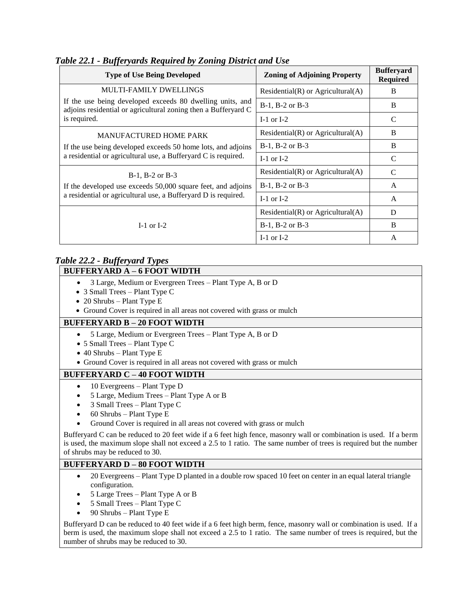| <b>Type of Use Being Developed</b>                                                                                                                                           | <b>Zoning of Adjoining Property</b>     | <b>Bufferyard</b><br><b>Required</b> |
|------------------------------------------------------------------------------------------------------------------------------------------------------------------------------|-----------------------------------------|--------------------------------------|
| <b>MULTI-FAMILY DWELLINGS</b><br>If the use being developed exceeds 80 dwelling units, and<br>adjoins residential or agricultural zoning then a Bufferyard C<br>is required. | Residential $(R)$ or Agricultural $(A)$ | <sub>B</sub>                         |
|                                                                                                                                                                              | B-1, B-2 or B-3                         | <sub>B</sub>                         |
|                                                                                                                                                                              | I-1 or I-2                              | C                                    |
| <b>MANUFACTURED HOME PARK</b><br>If the use being developed exceeds 50 home lots, and adjoins<br>a residential or agricultural use, a Bufferyard C is required.              | Residential $(R)$ or Agricultural $(A)$ | B                                    |
|                                                                                                                                                                              | $B-1$ , $B-2$ or $B-3$                  | B                                    |
|                                                                                                                                                                              | I-1 or I-2                              | $\mathcal{C}$                        |
| $B-1$ , $B-2$ or $B-3$<br>If the developed use exceeds 50,000 square feet, and adjoins<br>a residential or agricultural use, a Bufferyard D is required.                     | Residential $(R)$ or Agricultural $(A)$ | $\mathcal{C}$                        |
|                                                                                                                                                                              | $B-1$ , $B-2$ or $B-3$                  | $\mathsf{A}$                         |
|                                                                                                                                                                              | $I-1$ or $I-2$                          | A                                    |
| I-1 or I-2                                                                                                                                                                   | Residential $(R)$ or Agricultural $(A)$ | D                                    |
|                                                                                                                                                                              | $B-1$ , $B-2$ or $B-3$                  | <sub>B</sub>                         |
|                                                                                                                                                                              | $I-1$ or $I-2$                          | A                                    |

#### *Table 22.1 - Bufferyards Required by Zoning District and Use*

#### *Table 22.2 - Bufferyard Types* **BUFFERYARD A – 6 FOOT WIDTH**

- 3 Large, Medium or Evergreen Trees Plant Type A, B or D
- 3 Small Trees Plant Type C
- $\bullet$  20 Shrubs Plant Type E
- Ground Cover is required in all areas not covered with grass or mulch

#### **BUFFERYARD B – 20 FOOT WIDTH**

- 5 Large, Medium or Evergreen Trees Plant Type A, B or D
- 5 Small Trees Plant Type C
- 40 Shrubs Plant Type E
- Ground Cover is required in all areas not covered with grass or mulch

#### **BUFFERYARD C – 40 FOOT WIDTH**

- 10 Evergreens Plant Type D
- 5 Large, Medium Trees Plant Type A or B
- 3 Small Trees Plant Type C
- 60 Shrubs Plant Type E
- Ground Cover is required in all areas not covered with grass or mulch

Bufferyard C can be reduced to 20 feet wide if a 6 feet high fence, masonry wall or combination is used. If a berm is used, the maximum slope shall not exceed a 2.5 to 1 ratio. The same number of trees is required but the number of shrubs may be reduced to 30.

#### **BUFFERYARD D – 80 FOOT WIDTH**

- 20 Evergreens Plant Type D planted in a double row spaced 10 feet on center in an equal lateral triangle configuration.
- 5 Large Trees Plant Type A or B
- 5 Small Trees Plant Type C
- 90 Shrubs Plant Type E

Bufferyard D can be reduced to 40 feet wide if a 6 feet high berm, fence, masonry wall or combination is used. If a berm is used, the maximum slope shall not exceed a 2.5 to 1 ratio. The same number of trees is required, but the number of shrubs may be reduced to 30.